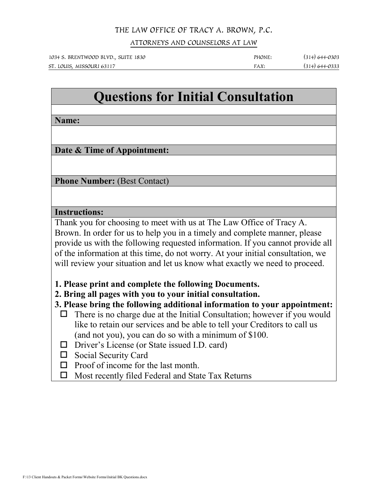## THE LAW OFFICE OF TRACY A. BROWN, P.C.

ATTORNEYS AND COUNSELORS AT LAW

1034 S. BRENTWOOD BLVD., SUITE 1830 PHONE: (314) 644-0303 ST. LOUIS, MISSOURI 63117 **FAX:** (314) 644-0333

## **Questions for Initial Consultation**

**Name:**

**Date & Time of Appointment:**

**Phone Number: (Best Contact)** 

## **Instructions:**

Thank you for choosing to meet with us at The Law Office of Tracy A. Brown. In order for us to help you in a timely and complete manner, please provide us with the following requested information. If you cannot provide all of the information at this time, do not worry. At your initial consultation, we will review your situation and let us know what exactly we need to proceed.

**1. Please print and complete the following Documents.**

**2. Bring all pages with you to your initial consultation.**

**3. Please bring the following additional information to your appointment:**

- $\Box$  There is no charge due at the Initial Consultation; however if you would like to retain our services and be able to tell your Creditors to call us (and not you), you can do so with a minimum of \$100.
- □ Driver's License (or State issued I.D. card)
- □ Social Security Card
- $\Box$  Proof of income for the last month.
- $\Box$  Most recently filed Federal and State Tax Returns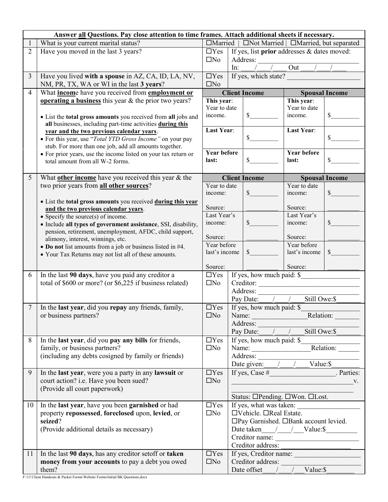| Answer all Questions. Pay close attention to time frames. Attach additional sheets if necessary. |                                                                                                                     |                                                   |                                      |                                             |                                                         |                           |  |  |
|--------------------------------------------------------------------------------------------------|---------------------------------------------------------------------------------------------------------------------|---------------------------------------------------|--------------------------------------|---------------------------------------------|---------------------------------------------------------|---------------------------|--|--|
|                                                                                                  | What is your current marital status?                                                                                | □Married   □Not Married   □Married, but separated |                                      |                                             |                                                         |                           |  |  |
| $\overline{2}$                                                                                   | Have you moved in the last 3 years?                                                                                 | $\Box$ Yes                                        |                                      | If yes, list prior addresses & dates moved: |                                                         |                           |  |  |
|                                                                                                  |                                                                                                                     | $\square$ No                                      |                                      | Address:                                    |                                                         |                           |  |  |
|                                                                                                  |                                                                                                                     |                                                   | In:                                  |                                             | $\overline{Out}$                                        |                           |  |  |
| 3                                                                                                | Have you lived with a spouse in AZ, CA, ID, LA, NV,                                                                 | $\Box$ Yes                                        |                                      | If yes, which state?                        |                                                         |                           |  |  |
|                                                                                                  | NM, PR, TX, WA or WI in the last 3 years?                                                                           | $\Box$ No                                         |                                      |                                             |                                                         |                           |  |  |
| $\overline{4}$                                                                                   | What income have you received from employment or                                                                    | <b>Client Income</b>                              |                                      | <b>Spousal Income</b>                       |                                                         |                           |  |  |
|                                                                                                  | <b>operating a business</b> this year $\&$ the prior two years?                                                     | This year:                                        |                                      |                                             | This year:                                              |                           |  |  |
|                                                                                                  |                                                                                                                     | Year to date                                      |                                      |                                             | Year to date                                            |                           |  |  |
|                                                                                                  | • List the total gross amounts you received from all jobs and                                                       | income.                                           |                                      | $\mathbb{S}$                                | income.                                                 | \$                        |  |  |
|                                                                                                  | all businesses, including part-time activities during this                                                          |                                                   |                                      |                                             |                                                         |                           |  |  |
|                                                                                                  | year and the two previous calendar years.                                                                           | <b>Last Year:</b>                                 |                                      |                                             | <b>Last Year:</b>                                       |                           |  |  |
|                                                                                                  | • For this year, use "Total YTD Gross Income" on your pay                                                           |                                                   |                                      | $\mathbb{S}$                                |                                                         | $\mathbb{S}$              |  |  |
|                                                                                                  | stub. For more than one job, add all amounts together.                                                              |                                                   |                                      |                                             |                                                         |                           |  |  |
|                                                                                                  | • For prior years, use the income listed on your tax return or                                                      | <b>Year before</b>                                |                                      |                                             | <b>Year before</b>                                      |                           |  |  |
|                                                                                                  | total amount from all W-2 forms.                                                                                    | last:                                             |                                      | \$                                          | last:                                                   | $\boldsymbol{\mathsf{S}}$ |  |  |
|                                                                                                  |                                                                                                                     |                                                   |                                      |                                             |                                                         |                           |  |  |
| 5                                                                                                | What <b>other income</b> have you received this year & the                                                          |                                                   |                                      | <b>Client Income</b>                        |                                                         | <b>Spousal Income</b>     |  |  |
|                                                                                                  | two prior years from all other sources?                                                                             | Year to date                                      |                                      |                                             | Year to date                                            |                           |  |  |
|                                                                                                  |                                                                                                                     | income:                                           |                                      | $\mathbb{S}$                                | income:                                                 | $\mathbb{S}$              |  |  |
|                                                                                                  | • List the total gross amounts you received during this year                                                        |                                                   |                                      |                                             |                                                         |                           |  |  |
|                                                                                                  | and the two previous calendar years.                                                                                | Source:                                           |                                      |                                             | Source:                                                 |                           |  |  |
|                                                                                                  | • Specify the source(s) of income.                                                                                  | Last Year's<br>income:                            |                                      | $\mathbb{S}$                                | Last Year's<br>income:                                  | \$                        |  |  |
|                                                                                                  | · Include all types of government assistance, SSI, disability,                                                      |                                                   |                                      |                                             |                                                         |                           |  |  |
|                                                                                                  | pension, retirement, unemployment, AFDC, child support,                                                             | Source:                                           |                                      |                                             | Source:                                                 |                           |  |  |
|                                                                                                  | alimony, interest, winnings, etc.                                                                                   | Year before                                       |                                      |                                             | Year before                                             |                           |  |  |
|                                                                                                  | • Do not list amounts from a job or business listed in #4.<br>• Your Tax Returns may not list all of these amounts. | last's income                                     |                                      | $\int$                                      | last's income                                           | $\mathsf{\$}$             |  |  |
|                                                                                                  |                                                                                                                     |                                                   |                                      |                                             |                                                         |                           |  |  |
|                                                                                                  |                                                                                                                     | Source:                                           |                                      |                                             | Source:                                                 |                           |  |  |
| 6                                                                                                | In the last 90 days, have you paid any creditor a                                                                   | $\Box$ Yes                                        |                                      | If yes, how much paid: \$                   |                                                         |                           |  |  |
|                                                                                                  | total of \$600 or more? (or \$6,225 if business related)                                                            | $\square$ No                                      |                                      | Creditor:                                   |                                                         |                           |  |  |
|                                                                                                  |                                                                                                                     |                                                   | Address:                             |                                             |                                                         |                           |  |  |
|                                                                                                  |                                                                                                                     |                                                   |                                      | Pay Date: / /                               | Still Owe:\$                                            |                           |  |  |
| $\tau$                                                                                           | In the last year, did you repay any friends, family,                                                                | $\Box$ Yes                                        | If yes, how much paid: \$            |                                             |                                                         |                           |  |  |
|                                                                                                  | or business partners?                                                                                               | $\square$ No                                      | Relation:<br>Name:                   |                                             |                                                         |                           |  |  |
|                                                                                                  |                                                                                                                     |                                                   |                                      |                                             |                                                         |                           |  |  |
|                                                                                                  |                                                                                                                     |                                                   |                                      |                                             | Address:<br>Pay Date: / / Still Owe: \$                 |                           |  |  |
| 8                                                                                                | In the last year, did you pay any bills for friends,                                                                | $\Box$ Yes                                        |                                      |                                             |                                                         |                           |  |  |
|                                                                                                  | family, or business partners?                                                                                       | $\square$ No                                      |                                      |                                             |                                                         |                           |  |  |
|                                                                                                  | (including any debts cosigned by family or friends)                                                                 |                                                   | Address:<br>Date given: / / Value:\$ |                                             |                                                         |                           |  |  |
|                                                                                                  |                                                                                                                     |                                                   |                                      |                                             |                                                         |                           |  |  |
| 9                                                                                                | In the last year, were you a party in any lawsuit or                                                                | $\Box$ Yes                                        |                                      |                                             |                                                         |                           |  |  |
|                                                                                                  | court action? i.e. Have you been sued?                                                                              | $\square$ No                                      |                                      |                                             | $\mathbf{V}$ .                                          |                           |  |  |
|                                                                                                  | (Provide all court paperwork)                                                                                       |                                                   |                                      |                                             |                                                         |                           |  |  |
|                                                                                                  |                                                                                                                     |                                                   |                                      |                                             | Status: □Pending. □Won. □Lost.                          |                           |  |  |
| 10                                                                                               | In the last year, have you been garnished or had                                                                    | $\Box$ Yes                                        | If yes, what was taken:              |                                             |                                                         |                           |  |  |
|                                                                                                  | property repossessed, foreclosed upon, levied, or                                                                   | $\square$ No                                      |                                      | $\Box$ Vehicle. $\Box$ Real Estate.         |                                                         |                           |  |  |
|                                                                                                  | seized?                                                                                                             |                                                   |                                      |                                             | □Pay Garnished. □Bank account levied.                   |                           |  |  |
|                                                                                                  | (Provide additional details as necessary)                                                                           |                                                   |                                      |                                             | Date taken $\_\_\_\_\_\_\_\_\_\_\_\_\_\_\_\_\_\_\_\_\_$ |                           |  |  |
|                                                                                                  |                                                                                                                     |                                                   |                                      |                                             | Creditor name:                                          |                           |  |  |
|                                                                                                  |                                                                                                                     |                                                   |                                      | Creditor address:                           |                                                         |                           |  |  |
| 11                                                                                               | In the last 90 days, has any creditor set off or taken                                                              | $\Box$ Yes                                        |                                      |                                             | If yes, Creditor name:                                  |                           |  |  |
|                                                                                                  | money from your accounts to pay a debt you owed                                                                     | $\square$ No                                      |                                      |                                             | Creditor address:                                       |                           |  |  |
|                                                                                                  | them?                                                                                                               |                                                   |                                      |                                             | Date offset / / Value: \$                               |                           |  |  |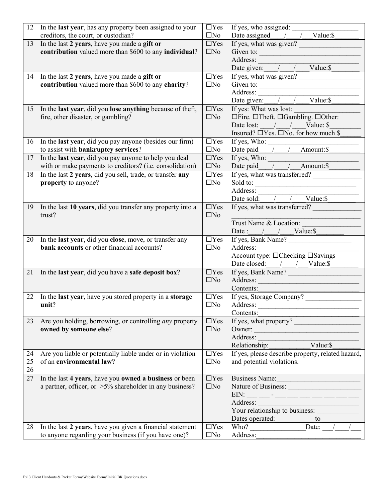| 12 | In the last year, has any property been assigned to your       | $\Box$ Yes   |                                                                                                                                                                                                                                                                                                                                                                                                                    |
|----|----------------------------------------------------------------|--------------|--------------------------------------------------------------------------------------------------------------------------------------------------------------------------------------------------------------------------------------------------------------------------------------------------------------------------------------------------------------------------------------------------------------------|
|    | creditors, the court, or custodian?                            | $\square$ No | Date assigned $\frac{1}{\sqrt{2}}$ $\frac{1}{\sqrt{2}}$ $\frac{1}{\sqrt{2}}$ $\frac{1}{\sqrt{2}}$                                                                                                                                                                                                                                                                                                                  |
| 13 | In the last 2 years, have you made a gift or                   | $\Box$ Yes   | If yes, what was given?                                                                                                                                                                                                                                                                                                                                                                                            |
|    | contribution valued more than \$600 to any individual?         | $\square$ No | Given to: $\qquad \qquad$                                                                                                                                                                                                                                                                                                                                                                                          |
|    |                                                                |              |                                                                                                                                                                                                                                                                                                                                                                                                                    |
|    |                                                                |              | Address: Date given: / / Value: \$                                                                                                                                                                                                                                                                                                                                                                                 |
| 14 | In the last 2 years, have you made a gift or                   | $\Box$ Yes   | If yes, what was given?                                                                                                                                                                                                                                                                                                                                                                                            |
|    | contribution valued more than \$600 to any charity?            | $\square$ No | Given to: $\qquad \qquad$                                                                                                                                                                                                                                                                                                                                                                                          |
|    |                                                                |              |                                                                                                                                                                                                                                                                                                                                                                                                                    |
|    |                                                                |              | Address: Date given: / / / Value:\$                                                                                                                                                                                                                                                                                                                                                                                |
| 15 | In the last year, did you lose anything because of theft,      | $\Box$ Yes   | If yes: What was lost:                                                                                                                                                                                                                                                                                                                                                                                             |
|    | fire, other disaster, or gambling?                             | $\square$ No | □Fire. □Theft. □Gambling. □Other:                                                                                                                                                                                                                                                                                                                                                                                  |
|    |                                                                |              | Date lost: / / Value: \$                                                                                                                                                                                                                                                                                                                                                                                           |
|    |                                                                |              | Insured? $\Box$ Yes. $\Box$ No. for how much \$                                                                                                                                                                                                                                                                                                                                                                    |
| 16 | In the last year, did you pay anyone (besides our firm)        | $\Box$ Yes   |                                                                                                                                                                                                                                                                                                                                                                                                                    |
|    | to assist with bankruptcy services?                            | $\square$ No | If yes, Who: $\frac{\text{Date paid} \frac{1}{1-\frac{1}{1-\frac{1}{1-\frac{1}{1-\frac{1}{1-\frac{1}{1-\frac{1}{1-\frac{1}{1-\frac{1}{1-\frac{1}{1-\frac{1}{1-\frac{1}{1-\frac{1}{1-\frac{1}{1-\frac{1}{1-\frac{1}{1-\frac{1}{1-\frac{1}{1-\frac{1}{1-\frac{1}{1-\frac{1}{1-\frac{1}{1-\frac{1}{1-\frac{1}{1-\frac{1}{1-\frac{1}{1-\frac{1}{1-\frac{1}{1-\frac{1}{1-\frac{1}{1-\frac{1}{1-\frac{1}{1-\frac{1}{1-\$ |
| 17 | In the last year, did you pay anyone to help you deal          | $\Box$ Yes   |                                                                                                                                                                                                                                                                                                                                                                                                                    |
|    | with or make payments to creditors? (i.e. consolidation)       | $\square$ No | If yes, Who: $\frac{1}{\sqrt{1 - \frac{1}{2}} \text{Amount:}\$}$                                                                                                                                                                                                                                                                                                                                                   |
| 18 | In the last 2 years, did you sell, trade, or transfer any      | $\Box$ Yes   | If yes, what was transferred?                                                                                                                                                                                                                                                                                                                                                                                      |
|    | property to anyone?                                            | $\square$ No |                                                                                                                                                                                                                                                                                                                                                                                                                    |
|    |                                                                |              | Sold to:                                                                                                                                                                                                                                                                                                                                                                                                           |
|    |                                                                |              | Address:<br>Date sold: / / Value: \$                                                                                                                                                                                                                                                                                                                                                                               |
|    |                                                                |              |                                                                                                                                                                                                                                                                                                                                                                                                                    |
| 19 | In the last 10 years, did you transfer any property into a     | $\Box$ Yes   | If yes, what was transferred?                                                                                                                                                                                                                                                                                                                                                                                      |
|    | trust?                                                         | $\Box$ No    |                                                                                                                                                                                                                                                                                                                                                                                                                    |
|    |                                                                |              | Trust Name & Location:                                                                                                                                                                                                                                                                                                                                                                                             |
|    |                                                                |              | Date: $/$ $\_\_\_\_\_\$ Value: \\ $\_\_\_\_\_\$                                                                                                                                                                                                                                                                                                                                                                    |
| 20 | In the last year, did you close, move, or transfer any         | $\Box$ Yes   | If yes, Bank Name?                                                                                                                                                                                                                                                                                                                                                                                                 |
|    | bank accounts or other financial accounts?                     | $\square$ No | Address:                                                                                                                                                                                                                                                                                                                                                                                                           |
|    |                                                                |              | Account type: □Checking □Savings                                                                                                                                                                                                                                                                                                                                                                                   |
|    |                                                                |              | Date closed: / / Value:\$                                                                                                                                                                                                                                                                                                                                                                                          |
| 21 | In the last year, did you have a safe deposit box?             | $\Box$ Yes   | If yes, Bank Name?                                                                                                                                                                                                                                                                                                                                                                                                 |
|    |                                                                | $\square$ No | Address:                                                                                                                                                                                                                                                                                                                                                                                                           |
|    |                                                                |              | Contents:                                                                                                                                                                                                                                                                                                                                                                                                          |
| 22 | In the last year, have you stored property in a storage        | $\Box$ Yes   | If yes, Storage Company?                                                                                                                                                                                                                                                                                                                                                                                           |
|    | unit?                                                          | $\square$ No | Address:                                                                                                                                                                                                                                                                                                                                                                                                           |
|    |                                                                |              | Contents:                                                                                                                                                                                                                                                                                                                                                                                                          |
| 23 | Are you holding, borrowing, or controlling <i>any</i> property | $\Box$ Yes   | If yes, what property?                                                                                                                                                                                                                                                                                                                                                                                             |
|    | owned by someone else?                                         | $\square$ No | Owner:                                                                                                                                                                                                                                                                                                                                                                                                             |
|    |                                                                |              | Address:                                                                                                                                                                                                                                                                                                                                                                                                           |
|    |                                                                |              | Relationship:<br>Value: \$                                                                                                                                                                                                                                                                                                                                                                                         |
| 24 | Are you liable or potentially liable under or in violation     | $\Box$ Yes   | If yes, please describe property, related hazard,                                                                                                                                                                                                                                                                                                                                                                  |
| 25 | of an environmental law?                                       | $\square$ No | and potential violations.                                                                                                                                                                                                                                                                                                                                                                                          |
| 26 |                                                                |              |                                                                                                                                                                                                                                                                                                                                                                                                                    |
| 27 | In the last 4 years, have you owned a business or been         | $\Box$ Yes   | Business Name:                                                                                                                                                                                                                                                                                                                                                                                                     |
|    | a partner, officer, or $>5\%$ shareholder in any business?     | $\square$ No | Nature of Business:                                                                                                                                                                                                                                                                                                                                                                                                |
|    |                                                                |              | EIN: __ __ - __ __ __ __ __ __ __ __                                                                                                                                                                                                                                                                                                                                                                               |
|    |                                                                |              | Address:                                                                                                                                                                                                                                                                                                                                                                                                           |
|    |                                                                |              | Your relationship to business:                                                                                                                                                                                                                                                                                                                                                                                     |
|    |                                                                |              | Dates operated:<br>$\frac{1}{2}$ to $\frac{1}{2}$                                                                                                                                                                                                                                                                                                                                                                  |
| 28 | In the last 2 years, have you given a financial statement      | $\Box$ Yes   |                                                                                                                                                                                                                                                                                                                                                                                                                    |
|    | to anyone regarding your business (if you have one)?           | $\square$ No | Address:                                                                                                                                                                                                                                                                                                                                                                                                           |
|    |                                                                |              |                                                                                                                                                                                                                                                                                                                                                                                                                    |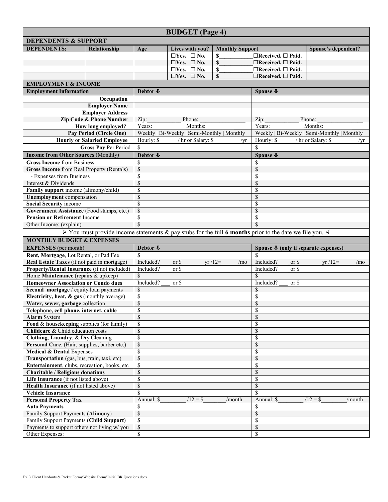|                                                                                    | <b>BUDGET</b> (Page 4)                                                                                                |                                                                  |                                    |                        |                   |                                         |                                             |                |                                           |        |
|------------------------------------------------------------------------------------|-----------------------------------------------------------------------------------------------------------------------|------------------------------------------------------------------|------------------------------------|------------------------|-------------------|-----------------------------------------|---------------------------------------------|----------------|-------------------------------------------|--------|
| <b>DEPENDENTS &amp; SUPPORT</b>                                                    |                                                                                                                       |                                                                  |                                    |                        |                   |                                         |                                             |                |                                           |        |
| <b>DEPENDENTS:</b>                                                                 | Relationship                                                                                                          | Age                                                              | Lives with you?                    | <b>Monthly Support</b> |                   |                                         | Spouse's dependent?                         |                |                                           |        |
|                                                                                    |                                                                                                                       |                                                                  | $\Box$ Yes. $\Box$ No.             |                        | \$                |                                         | $\Box$ Received. $\Box$ Paid.               |                |                                           |        |
|                                                                                    |                                                                                                                       |                                                                  | $\Box$ Yes. $\Box$ No.             |                        | $\mathbf S$       |                                         | $\Box$ Received. $\Box$ Paid.               |                |                                           |        |
|                                                                                    |                                                                                                                       |                                                                  | $\overline{\Box Y}$ es. $\Box$ No. |                        | \$                |                                         | $\Box$ Received. $\Box$ Paid.               |                |                                           |        |
|                                                                                    |                                                                                                                       |                                                                  | $\square$ Yes. $\square$ No.       |                        | $\mathbb S$       |                                         | $\Box$ Received. $\Box$ Paid.               |                |                                           |        |
| <b>EMPLOYMENT &amp; INCOME</b>                                                     |                                                                                                                       |                                                                  |                                    |                        |                   |                                         |                                             |                |                                           |        |
| <b>Employment Information</b>                                                      |                                                                                                                       | Debtor $\Phi$                                                    |                                    |                        |                   |                                         | Spouse $\Phi$                               |                |                                           |        |
|                                                                                    | Occupation                                                                                                            |                                                                  |                                    |                        |                   |                                         |                                             |                |                                           |        |
|                                                                                    | <b>Employer Name</b>                                                                                                  |                                                                  |                                    |                        |                   |                                         |                                             |                |                                           |        |
|                                                                                    | <b>Employer Address</b>                                                                                               |                                                                  |                                    |                        |                   |                                         |                                             |                |                                           |        |
|                                                                                    | Zip Code & Phone Number                                                                                               | Zip:<br>Phone:                                                   |                                    |                        | Zip:<br>Phone:    |                                         |                                             |                |                                           |        |
|                                                                                    | How long employed?                                                                                                    | Years:<br>Months:<br>Weekly   Bi-Weekly   Semi-Monthly   Monthly |                                    |                        | Years:<br>Months: |                                         |                                             |                |                                           |        |
|                                                                                    | Pay Period (Circle One)                                                                                               |                                                                  |                                    |                        |                   |                                         | Weekly   Bi-Weekly   Semi-Monthly   Monthly |                |                                           |        |
|                                                                                    | <b>Hourly or Salaried Employee</b>                                                                                    | Hourly: \$<br>/ hr or Salary: \$<br>/yr                          |                                    |                        |                   | Hourly: \$<br>/ hr or Salary: \$<br>/yr |                                             |                |                                           |        |
|                                                                                    | Gross Pay Per Period                                                                                                  | \$                                                               |                                    |                        |                   |                                         | \$                                          |                |                                           |        |
| <b>Income from Other Sources (Monthly)</b>                                         |                                                                                                                       | Debtor $\Phi$                                                    |                                    |                        |                   |                                         | Spouse <b>0</b>                             |                |                                           |        |
| <b>Gross Income from Business</b>                                                  |                                                                                                                       | \$                                                               |                                    |                        |                   |                                         | \$                                          |                |                                           |        |
| <b>Gross Income</b> from Real Property (Rentals)                                   |                                                                                                                       | \$                                                               |                                    |                        |                   |                                         | \$                                          |                |                                           |        |
| - Expenses from Business                                                           |                                                                                                                       | \$                                                               |                                    |                        |                   |                                         | \$                                          |                |                                           |        |
| Interest & Dividends                                                               |                                                                                                                       | \$<br>\$                                                         |                                    |                        |                   |                                         | \$                                          |                |                                           |        |
| Family support income (alimony/child)<br><b>Unemployment</b> compensation          |                                                                                                                       | \$                                                               |                                    |                        |                   |                                         | \$<br>$\mathbb S$                           |                |                                           |        |
| <b>Social Security income</b>                                                      |                                                                                                                       | \$                                                               |                                    |                        |                   |                                         | \$                                          |                |                                           |        |
| Government Assistance (Food stamps, etc.)                                          |                                                                                                                       | \$                                                               |                                    |                        |                   |                                         | $\mathbb{S}$                                |                |                                           |        |
| <b>Pension or Retirement Income</b>                                                | \$                                                                                                                    |                                                                  |                                    | \$                     |                   |                                         |                                             |                |                                           |        |
| Other Income: (explain)                                                            |                                                                                                                       | \$                                                               |                                    |                        | \$                |                                         |                                             |                |                                           |        |
|                                                                                    | > You must provide income statements & pay stubs for the full 6 months prior to the date we file you. $\triangleleft$ |                                                                  |                                    |                        |                   |                                         |                                             |                |                                           |        |
| <b>MONTHLY BUDGET &amp; EXPENSES</b>                                               |                                                                                                                       |                                                                  |                                    |                        |                   |                                         |                                             |                |                                           |        |
| <b>EXPENSES</b> (per month)                                                        |                                                                                                                       | Debtor $\Phi$                                                    |                                    |                        |                   |                                         |                                             |                | Spouse $\Phi$ (only if separate expenses) |        |
| Rent, Mortgage, Lot Rental, or Pad Fee                                             |                                                                                                                       | \$                                                               |                                    |                        |                   |                                         | \$.                                         |                |                                           |        |
|                                                                                    |                                                                                                                       |                                                                  |                                    |                        |                   | /mo                                     |                                             |                |                                           | /mo    |
|                                                                                    |                                                                                                                       |                                                                  |                                    |                        |                   |                                         |                                             |                |                                           |        |
|                                                                                    | Real Estate Taxes (if not paid in mortgage)                                                                           | Included?                                                        | or \$<br>or \$                     |                        | $yr/12=$          |                                         | Included?<br>Included?                      | or \$<br>or \$ | $yr/12=$                                  |        |
| Property/Rental Insurance (if not included)<br>Home Maintenance (repairs & upkeep) |                                                                                                                       | Included?<br>\$                                                  |                                    |                        |                   |                                         | \$                                          |                |                                           |        |
| <b>Homeowner Association or Condo dues</b>                                         |                                                                                                                       | Included?                                                        | or \$                              |                        |                   |                                         | Included?                                   | or \$          |                                           |        |
| Second mortgage / equity loan payments                                             |                                                                                                                       | \$                                                               |                                    |                        |                   |                                         | \$                                          |                |                                           |        |
| Electricity, heat, & gas (monthly average)                                         |                                                                                                                       | \$                                                               |                                    |                        |                   |                                         | \$                                          |                |                                           |        |
| Water, sewer, garbage collection                                                   |                                                                                                                       | \$                                                               |                                    |                        |                   |                                         | $\mathbb{S}$                                |                |                                           |        |
| Telephone, cell phone, internet, cable                                             |                                                                                                                       | \$                                                               |                                    |                        |                   |                                         | \$                                          |                |                                           |        |
| <b>Alarm</b> System                                                                |                                                                                                                       | \$                                                               |                                    |                        |                   |                                         | \$                                          |                |                                           |        |
| Food $&$ housekeeping supplies (for family)                                        |                                                                                                                       | \$                                                               |                                    |                        |                   |                                         | \$                                          |                |                                           |        |
| Childcare & Child education costs                                                  |                                                                                                                       | \$                                                               |                                    |                        |                   |                                         | \$                                          |                |                                           |        |
| Clothing, Laundry, & Dry Cleaning                                                  |                                                                                                                       | \$                                                               |                                    |                        |                   |                                         | $\overline{\mathcal{S}}$                    |                |                                           |        |
| Personal Care. (Hair, supplies, barber etc.)                                       |                                                                                                                       | \$                                                               |                                    |                        |                   |                                         | $\mathbb{S}$                                |                |                                           |        |
| <b>Medical &amp; Dental Expenses</b>                                               |                                                                                                                       | \$                                                               |                                    |                        |                   |                                         | \$                                          |                |                                           |        |
| Transportation (gas, bus, train, taxi, etc)                                        |                                                                                                                       | \$                                                               |                                    |                        |                   |                                         | $\mathcal{S}$                               |                |                                           |        |
| Entertainment, clubs, recreation, books, etc                                       |                                                                                                                       | \$                                                               |                                    |                        |                   |                                         | \$                                          |                |                                           |        |
| <b>Charitable / Religious donations</b>                                            |                                                                                                                       | \$                                                               |                                    |                        |                   |                                         | $\mathbb S$                                 |                |                                           |        |
| Life Insurance (if not listed above)                                               |                                                                                                                       | \$                                                               |                                    |                        |                   |                                         | \$                                          |                |                                           |        |
| Health Insurance (if not listed above)                                             |                                                                                                                       | \$<br>\$                                                         |                                    |                        |                   |                                         | $\mathbb{S}$<br>\$                          |                |                                           |        |
| <b>Vehicle Insurance</b><br><b>Personal Property Tax</b>                           |                                                                                                                       | Annual: \$                                                       | $/12 = $$                          |                        |                   | /month                                  | Annual: \$                                  |                | $/12 = $$                                 | /month |
| <b>Auto Payments</b>                                                               |                                                                                                                       | \$                                                               |                                    |                        |                   |                                         | \$                                          |                |                                           |        |
| Family Support Payments (Alimony)                                                  |                                                                                                                       | \$                                                               |                                    |                        |                   |                                         | \$                                          |                |                                           |        |
| Family Support Payments (Child Support)                                            |                                                                                                                       | \$                                                               |                                    |                        |                   |                                         | \$                                          |                |                                           |        |
| Payments to support others not living w/ you<br>Other Expenses:                    |                                                                                                                       | \$                                                               |                                    |                        |                   |                                         | $\overline{\mathcal{S}}$                    |                |                                           |        |